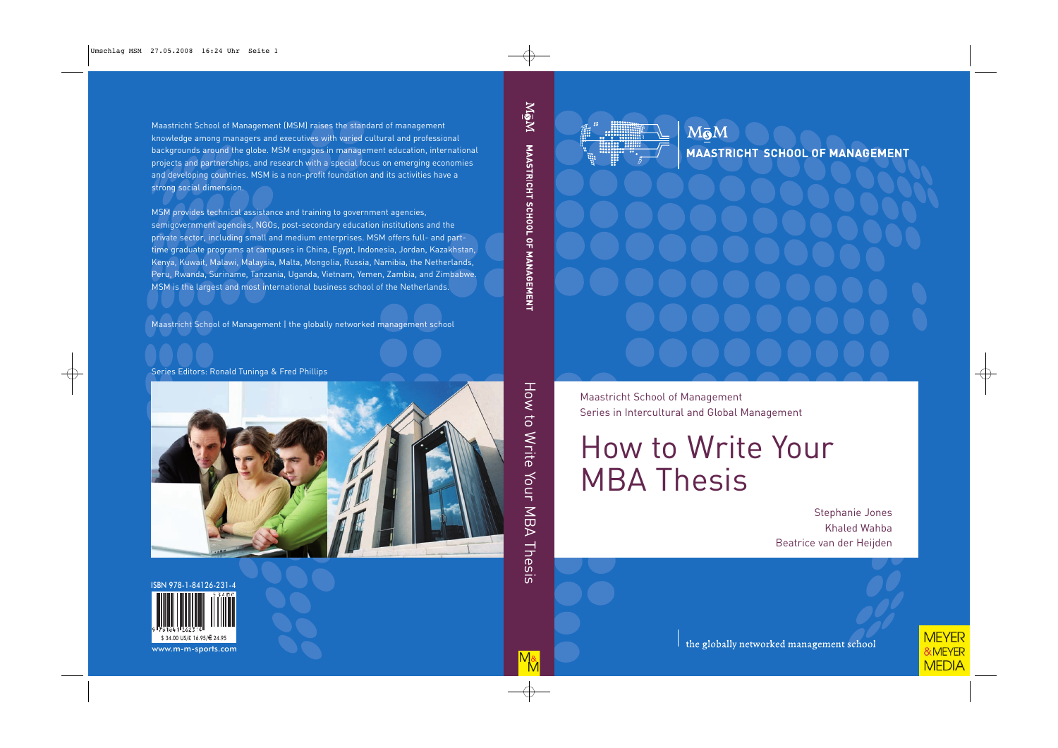# $M$ ø $M$ **MAASTRICHT SCHOOL OF MANAGEMENT**

Maastricht School of Management Series in Intercultural and Global Management

# How to Write Your MBA Thesis

Stephanie Jones Khaled Wahba Beatrice van der Heijden

the globally networked management school

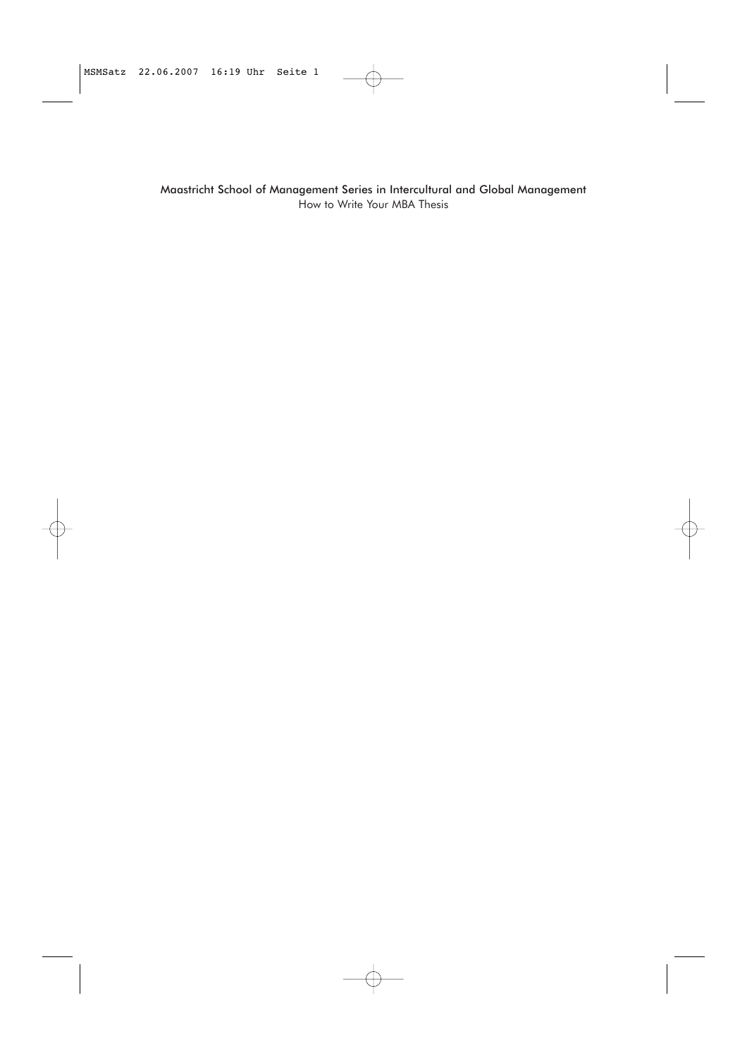Maastricht School of Management Series in Intercultural and Global Management How to Write Your MBA Thesis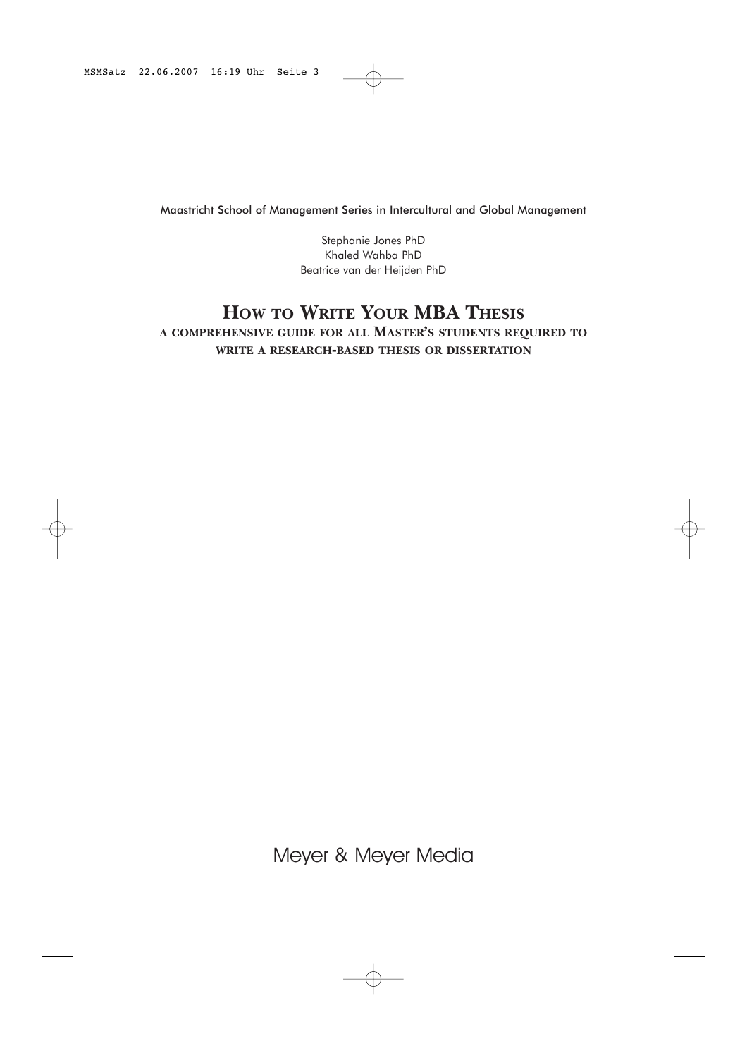Maastricht School of Management Series in Intercultural and Global Management

Stephanie Jones PhD Khaled Wahba PhD Beatrice van der Heijden PhD

### **HOW TO WRITE YOUR MBA THESIS A COMPREHENSIVE GUIDE FOR ALL MASTER'S STUDENTS REQUIRED TO WRITE A RESEARCH-BASED THESIS OR DISSERTATION**

Meyer & Meyer Media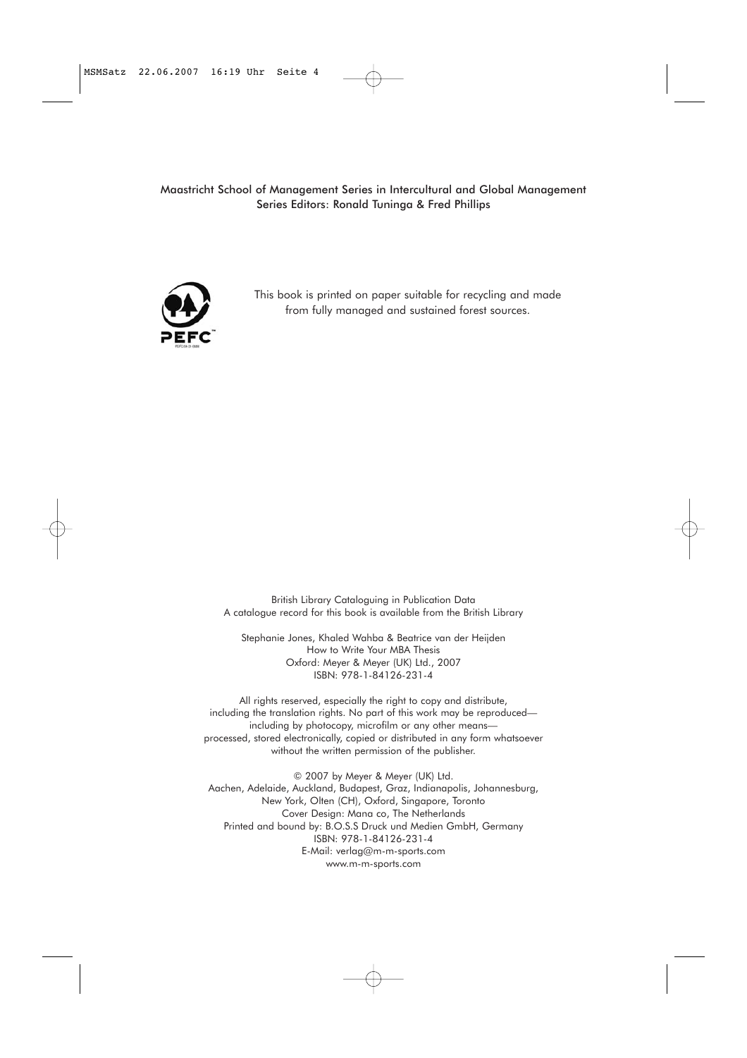#### Maastricht School of Management Series in Intercultural and Global Management Series Editors: Ronald Tuninga & Fred Phillips



This book is printed on paper suitable for recycling and made from fully managed and sustained forest sources.

British Library Cataloguing in Publication Data A catalogue record for this book is available from the British Library

Stephanie Jones, Khaled Wahba & Beatrice van der Heijden How to Write Your MBA Thesis Oxford: Meyer & Meyer (UK) Ltd., 2007 ISBN: 978-1-84126-231-4

All rights reserved, especially the right to copy and distribute, including the translation rights. No part of this work may be reproduced including by photocopy, microfilm or any other means processed, stored electronically, copied or distributed in any form whatsoever without the written permission of the publisher.

© 2007 by Meyer & Meyer (UK) Ltd. Aachen, Adelaide, Auckland, Budapest, Graz, Indianapolis, Johannesburg, New York, Olten (CH), Oxford, Singapore, Toronto Cover Design: Mana co, The Netherlands Printed and bound by: B.O.S.S Druck und Medien GmbH, Germany ISBN: 978-1-84126-231-4 E-Mail: verlag@m-m-sports.com www.m-m-sports.com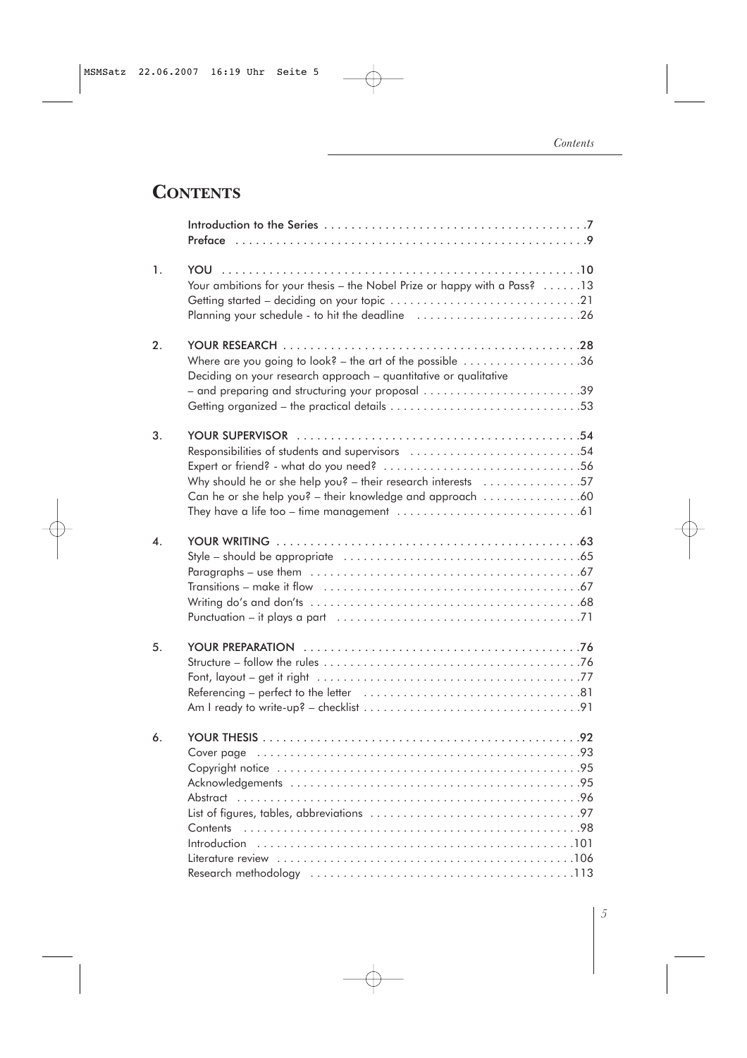# **CONTENTS**

| 1. | Your ambitions for your thesis – the Nobel Prize or happy with a Pass? $\dots$<br>Planning your schedule - to hit the deadline 26                                                                                          |
|----|----------------------------------------------------------------------------------------------------------------------------------------------------------------------------------------------------------------------------|
| 2. | Where are you going to look? – the art of the possible $\ldots \ldots \ldots \ldots \ldots \ldots$<br>Deciding on your research approach - quantitative or qualitative<br>- and preparing and structuring your proposal 39 |
| 3. | Responsibilities of students and supervisors 54<br>Why should he or she help you? - their research interests $\dots\dots\dots\dots\dots57$<br>Can he or she help you? - their knowledge and approach 60                    |
| 4. |                                                                                                                                                                                                                            |
| 5. | Font, layout – get it right $\dots\dots\dots\dots\dots\dots\dots\dots\dots\dots\dots\dots\dots\dots\dots$<br>Referencing – perfect to the letter $\dots\dots\dots\dots\dots\dots\dots\dots\dots\dots\dots$                 |
| 6. | Cover page<br>Abstract<br>Contents<br>Introduction                                                                                                                                                                         |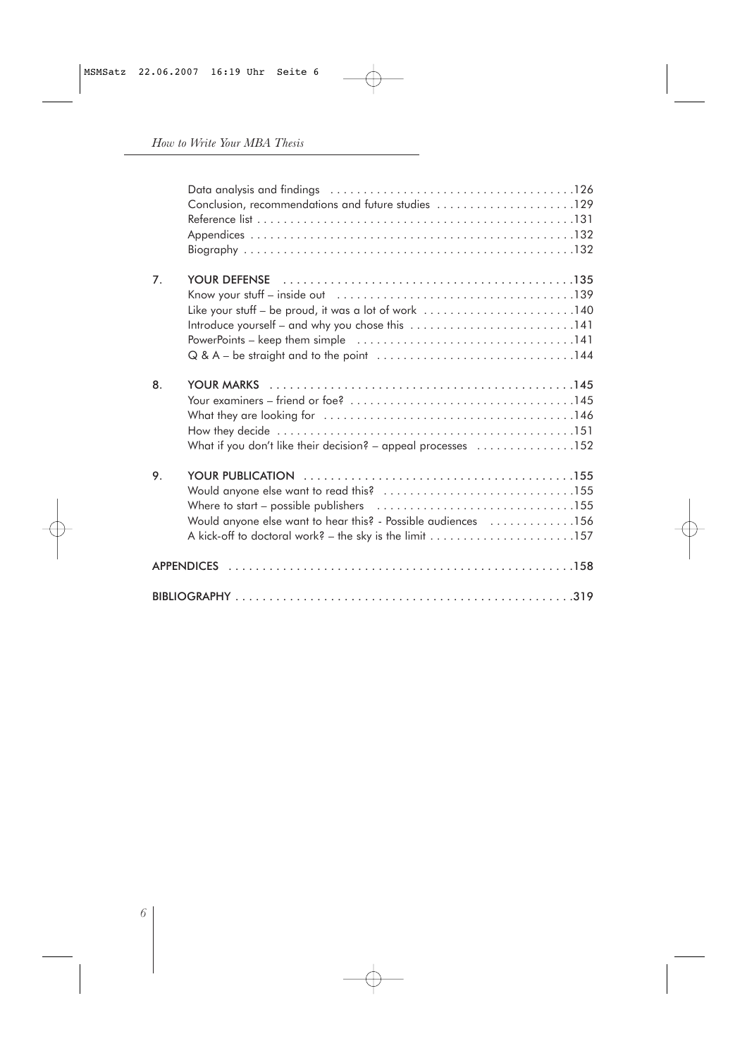|    | Data analysis and findings experiences in the contract of the state of the Data analysis and findings experiences<br>Conclusion, recommendations and future studies 129                                                                                                                                                                                                                                                                                                                                                          |  |
|----|----------------------------------------------------------------------------------------------------------------------------------------------------------------------------------------------------------------------------------------------------------------------------------------------------------------------------------------------------------------------------------------------------------------------------------------------------------------------------------------------------------------------------------|--|
| 7. | Know your stuff – inside out $\ldots \ldots \ldots \ldots \ldots \ldots \ldots \ldots \ldots \ldots \ldots \ldots$<br>Like your stuff - be proud, it was a lot of work $\ldots \ldots \ldots \ldots \ldots \ldots \ldots \ldots$<br>Introduce yourself - and why you chose this 141<br>PowerPoints – keep them simple $\dots \dots \dots \dots \dots \dots \dots \dots \dots \dots \dots \dots \dots \dots 141$<br>$Q & A - b$ be straight and to the point $\ldots \ldots \ldots \ldots \ldots \ldots \ldots \ldots \ldots 144$ |  |
| 8. | What if you don't like their decision? - appeal processes 152                                                                                                                                                                                                                                                                                                                                                                                                                                                                    |  |
| 9. | Would anyone else want to hear this? - Possible audiences 156                                                                                                                                                                                                                                                                                                                                                                                                                                                                    |  |
|    |                                                                                                                                                                                                                                                                                                                                                                                                                                                                                                                                  |  |
|    |                                                                                                                                                                                                                                                                                                                                                                                                                                                                                                                                  |  |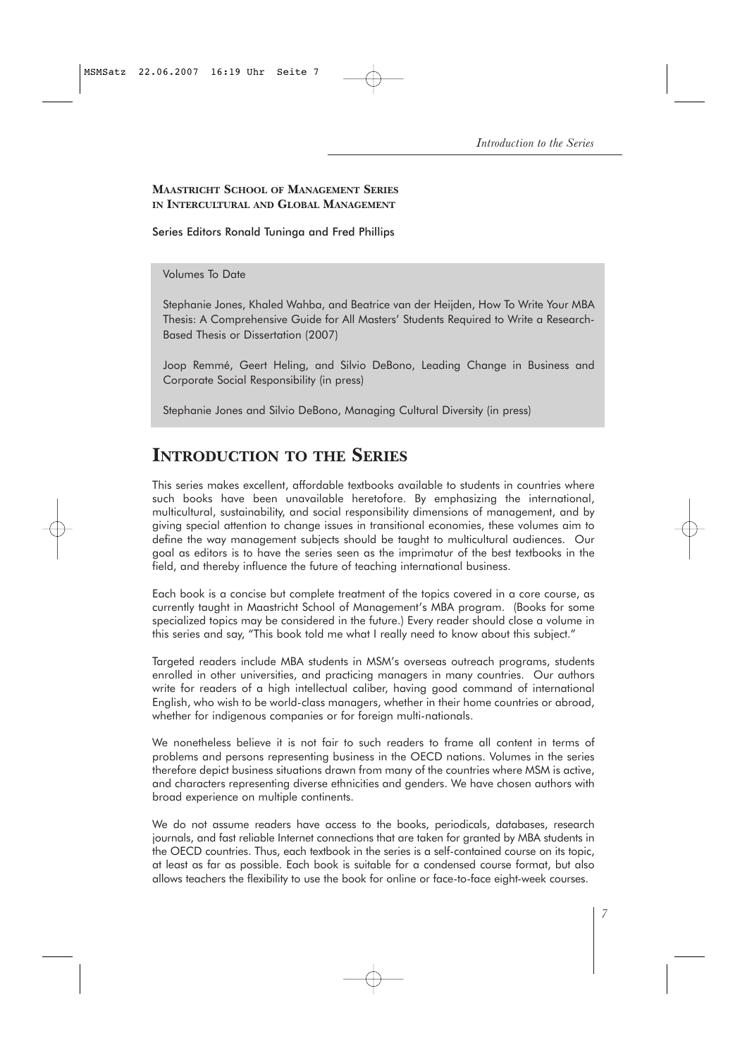#### **MAASTRICHT SCHOOL OF MANAGEMENT SERIES IN INTERCULTURAL AND GLOBAL MANAGEMENT**

Series Editors Ronald Tuninga and Fred Phillips

Volumes To Date

Stephanie Jones, Khaled Wahba, and Beatrice van der Heijden, How To Write Your MBA Thesis: A Comprehensive Guide for All Masters' Students Required to Write a Research-Based Thesis or Dissertation (2007)

Joop Remmé, Geert Heling, and Silvio DeBono, Leading Change in Business and Corporate Social Responsibility (in press)

Stephanie Jones and Silvio DeBono, Managing Cultural Diversity (in press)

## **INTRODUCTION TO THE SERIES**

This series makes excellent, affordable textbooks available to students in countries where such books have been unavailable heretofore. By emphasizing the international, multicultural, sustainability, and social responsibility dimensions of management, and by giving special attention to change issues in transitional economies, these volumes aim to define the way management subjects should be taught to multicultural audiences. Our goal as editors is to have the series seen as the imprimatur of the best textbooks in the field, and thereby influence the future of teaching international business.

Each book is a concise but complete treatment of the topics covered in a core course, as currently taught in Maastricht School of Management's MBA program. (Books for some specialized topics may be considered in the future.) Every reader should close a volume in this series and say, "This book told me what I really need to know about this subject."

Targeted readers include MBA students in MSM's overseas outreach programs, students enrolled in other universities, and practicing managers in many countries. Our authors write for readers of a high intellectual caliber, having good command of international English, who wish to be world-class managers, whether in their home countries or abroad, whether for indigenous companies or for foreign multi-nationals.

We nonetheless believe it is not fair to such readers to frame all content in terms of problems and persons representing business in the OECD nations. Volumes in the series therefore depict business situations drawn from many of the countries where MSM is active, and characters representing diverse ethnicities and genders. We have chosen authors with broad experience on multiple continents.

We do not assume readers have access to the books, periodicals, databases, research journals, and fast reliable Internet connections that are taken for granted by MBA students in the OECD countries. Thus, each textbook in the series is a self-contained course on its topic, at least as far as possible. Each book is suitable for a condensed course format, but also allows teachers the flexibility to use the book for online or face-to-face eight-week courses.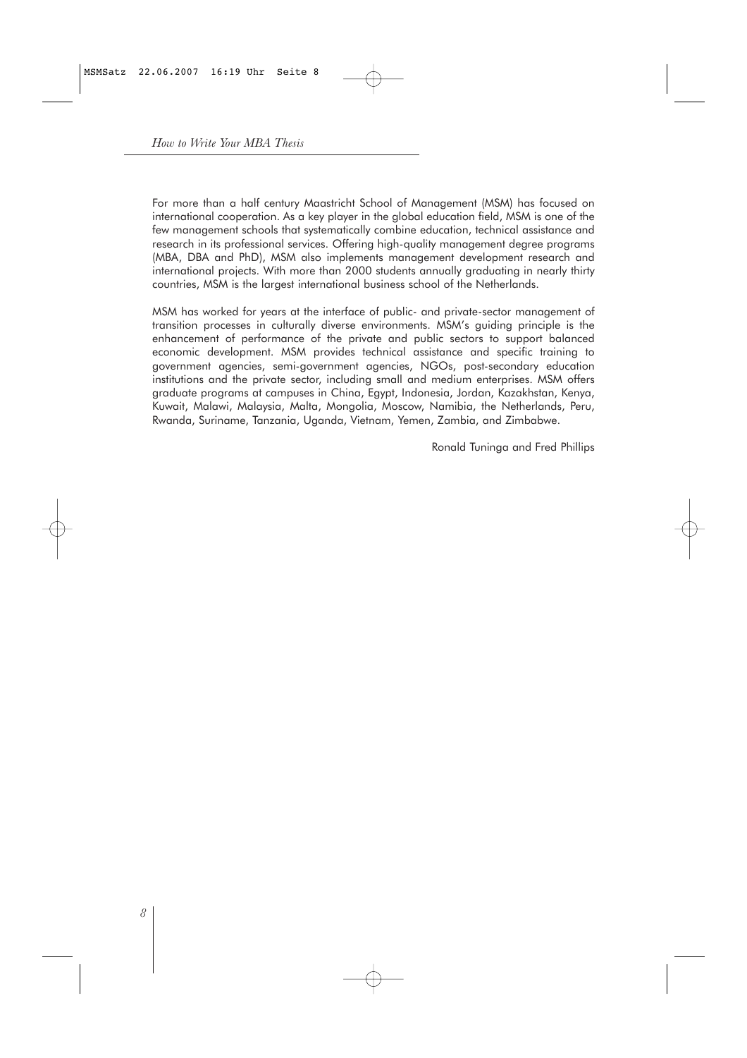For more than a half century Maastricht School of Management (MSM) has focused on international cooperation. As a key player in the global education field, MSM is one of the few management schools that systematically combine education, technical assistance and research in its professional services. Offering high-quality management degree programs (MBA, DBA and PhD), MSM also implements management development research and international projects. With more than 2000 students annually graduating in nearly thirty countries, MSM is the largest international business school of the Netherlands.

MSM has worked for years at the interface of public- and private-sector management of transition processes in culturally diverse environments. MSM's guiding principle is the enhancement of performance of the private and public sectors to support balanced economic development. MSM provides technical assistance and specific training to government agencies, semi-government agencies, NGOs, post-secondary education institutions and the private sector, including small and medium enterprises. MSM offers graduate programs at campuses in China, Egypt, Indonesia, Jordan, Kazakhstan, Kenya, Kuwait, Malawi, Malaysia, Malta, Mongolia, Moscow, Namibia, the Netherlands, Peru, Rwanda, Suriname, Tanzania, Uganda, Vietnam, Yemen, Zambia, and Zimbabwe.

Ronald Tuninga and Fred Phillips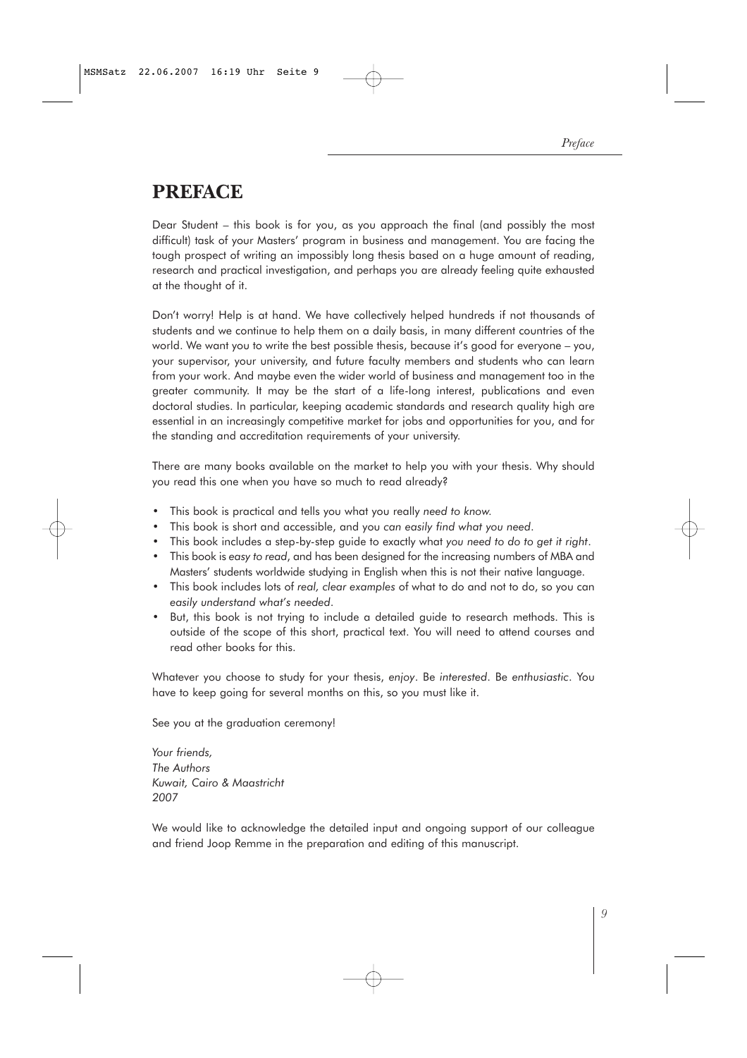# **PREFACE**

Dear Student – this book is for you, as you approach the final (and possibly the most difficult) task of your Masters' program in business and management. You are facing the tough prospect of writing an impossibly long thesis based on a huge amount of reading, research and practical investigation, and perhaps you are already feeling quite exhausted at the thought of it.

Don't worry! Help is at hand. We have collectively helped hundreds if not thousands of students and we continue to help them on a daily basis, in many different countries of the world. We want you to write the best possible thesis, because it's good for everyone – you, your supervisor, your university, and future faculty members and students who can learn from your work. And maybe even the wider world of business and management too in the greater community. It may be the start of a life-long interest, publications and even doctoral studies. In particular, keeping academic standards and research quality high are essential in an increasingly competitive market for jobs and opportunities for you, and for the standing and accreditation requirements of your university.

There are many books available on the market to help you with your thesis. Why should you read this one when you have so much to read already?

- This book is practical and tells you what you really *need to know.*
- This book is short and accessible, and you *can easily find what you need*.
- This book includes a step-by-step guide to exactly what *you need to do to get it right*.
- This book is *easy to read*, and has been designed for the increasing numbers of MBA and Masters' students worldwide studying in English when this is not their native language.
- This book includes lots of *real, clear examples* of what to do and not to do, so you can *easily understand what's needed*.
- But, this book is not trying to include a detailed guide to research methods. This is outside of the scope of this short, practical text. You will need to attend courses and read other books for this.

Whatever you choose to study for your thesis, *enjoy*. Be *interested*. Be *enthusiastic*. You have to keep going for several months on this, so you must like it.

See you at the graduation ceremony!

*Your friends, The Authors Kuwait, Cairo & Maastricht 2007* 

We would like to acknowledge the detailed input and ongoing support of our colleague and friend Joop Remme in the preparation and editing of this manuscript.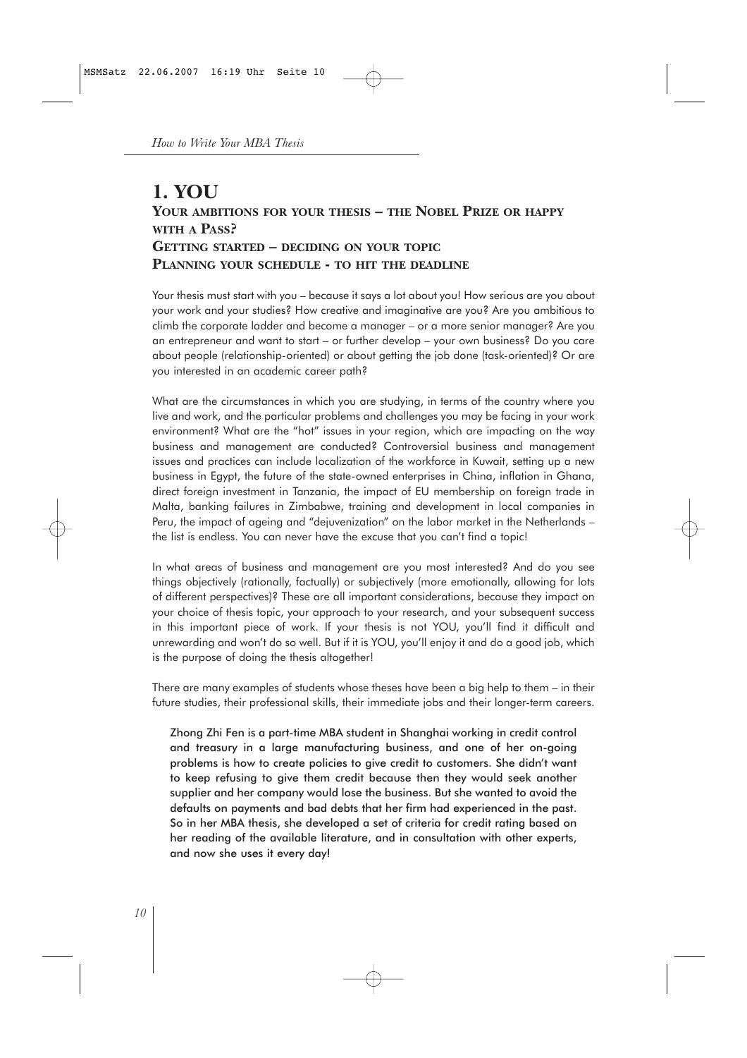#### **1. YOU YOUR AMBITIONS FOR YOUR THESIS – THE NOBEL PRIZE OR HAPPY WITH A PASS? GETTING STARTED – DECIDING ON YOUR TOPIC PLANNING YOUR SCHEDULE - TO HIT THE DEADLINE**

Your thesis must start with you – because it says a lot about you! How serious are you about your work and your studies? How creative and imaginative are you? Are you ambitious to climb the corporate ladder and become a manager – or a more senior manager? Are you an entrepreneur and want to start – or further develop – your own business? Do you care about people (relationship-oriented) or about getting the job done (task-oriented)? Or are you interested in an academic career path?

What are the circumstances in which you are studying, in terms of the country where you live and work, and the particular problems and challenges you may be facing in your work environment? What are the "hot" issues in your region, which are impacting on the way business and management are conducted? Controversial business and management issues and practices can include localization of the workforce in Kuwait, setting up a new business in Egypt, the future of the state-owned enterprises in China, inflation in Ghana, direct foreign investment in Tanzania, the impact of EU membership on foreign trade in Malta, banking failures in Zimbabwe, training and development in local companies in Peru, the impact of ageing and "dejuvenization" on the labor market in the Netherlands – the list is endless. You can never have the excuse that you can't find a topic!

In what areas of business and management are you most interested? And do you see things objectively (rationally, factually) or subjectively (more emotionally, allowing for lots of different perspectives)? These are all important considerations, because they impact on your choice of thesis topic, your approach to your research, and your subsequent success in this important piece of work. If your thesis is not YOU, you'll find it difficult and unrewarding and won't do so well. But if it is YOU, you'll enjoy it and do a good job, which is the purpose of doing the thesis altogether!

There are many examples of students whose theses have been a big help to them – in their future studies, their professional skills, their immediate jobs and their longer-term careers.

Zhong Zhi Fen is a part-time MBA student in Shanghai working in credit control and treasury in a large manufacturing business, and one of her on-going problems is how to create policies to give credit to customers. She didn't want to keep refusing to give them credit because then they would seek another supplier and her company would lose the business. But she wanted to avoid the defaults on payments and bad debts that her firm had experienced in the past. So in her MBA thesis, she developed a set of criteria for credit rating based on her reading of the available literature, and in consultation with other experts, and now she uses it every day!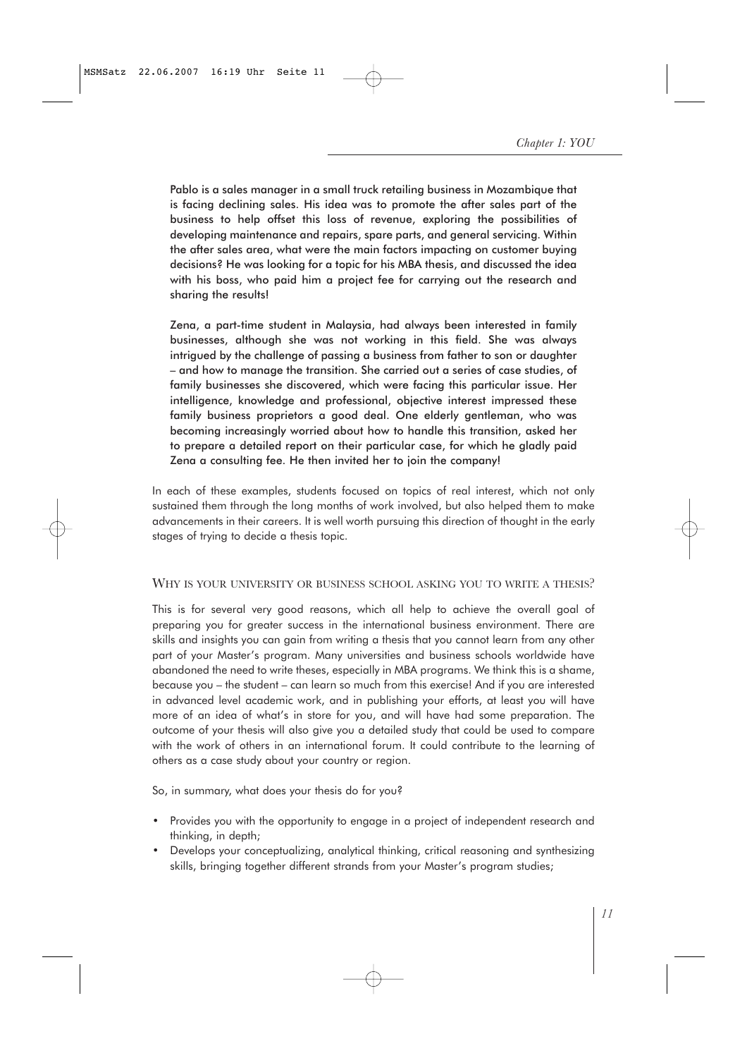Pablo is a sales manager in a small truck retailing business in Mozambique that is facing declining sales. His idea was to promote the after sales part of the business to help offset this loss of revenue, exploring the possibilities of developing maintenance and repairs, spare parts, and general servicing. Within the after sales area, what were the main factors impacting on customer buying decisions? He was looking for a topic for his MBA thesis, and discussed the idea with his boss, who paid him a project fee for carrying out the research and sharing the results!

Zena, a part-time student in Malaysia, had always been interested in family businesses, although she was not working in this field. She was always intrigued by the challenge of passing a business from father to son or daughter – and how to manage the transition. She carried out a series of case studies, of family businesses she discovered, which were facing this particular issue. Her intelligence, knowledge and professional, objective interest impressed these family business proprietors a good deal. One elderly gentleman, who was becoming increasingly worried about how to handle this transition, asked her to prepare a detailed report on their particular case, for which he gladly paid Zena a consulting fee. He then invited her to join the company!

In each of these examples, students focused on topics of real interest, which not only sustained them through the long months of work involved, but also helped them to make advancements in their careers. It is well worth pursuing this direction of thought in the early stages of trying to decide a thesis topic.

#### WHY IS YOUR UNIVERSITY OR BUSINESS SCHOOL ASKING YOU TO WRITE A THESIS?

This is for several very good reasons, which all help to achieve the overall goal of preparing you for greater success in the international business environment. There are skills and insights you can gain from writing a thesis that you cannot learn from any other part of your Master's program. Many universities and business schools worldwide have abandoned the need to write theses, especially in MBA programs. We think this is a shame, because you – the student – can learn so much from this exercise! And if you are interested in advanced level academic work, and in publishing your efforts, at least you will have more of an idea of what's in store for you, and will have had some preparation. The outcome of your thesis will also give you a detailed study that could be used to compare with the work of others in an international forum. It could contribute to the learning of others as a case study about your country or region.

So, in summary, what does your thesis do for you?

- Provides you with the opportunity to engage in a project of independent research and thinking, in depth;
- Develops your conceptualizing, analytical thinking, critical reasoning and synthesizing skills, bringing together different strands from your Master's program studies;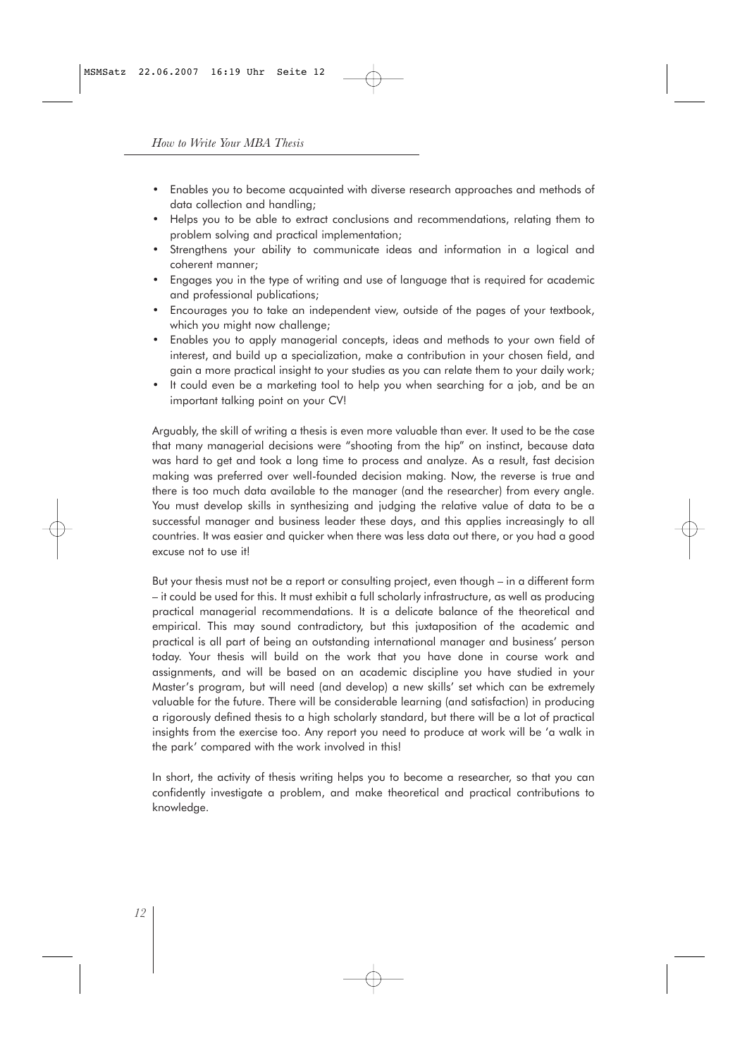- Enables you to become acquainted with diverse research approaches and methods of data collection and handling;
- Helps you to be able to extract conclusions and recommendations, relating them to problem solving and practical implementation;
- Strengthens your ability to communicate ideas and information in a logical and coherent manner;
- Engages you in the type of writing and use of language that is required for academic and professional publications;
- Encourages you to take an independent view, outside of the pages of your textbook, which you might now challenge;
- Enables you to apply managerial concepts, ideas and methods to your own field of interest, and build up a specialization, make a contribution in your chosen field, and gain a more practical insight to your studies as you can relate them to your daily work;
- It could even be a marketing tool to help you when searching for a job, and be an important talking point on your CV!

Arguably, the skill of writing a thesis is even more valuable than ever. It used to be the case that many managerial decisions were "shooting from the hip" on instinct, because data was hard to get and took a long time to process and analyze. As a result, fast decision making was preferred over well-founded decision making. Now, the reverse is true and there is too much data available to the manager (and the researcher) from every angle. You must develop skills in synthesizing and judging the relative value of data to be a successful manager and business leader these days, and this applies increasingly to all countries. It was easier and quicker when there was less data out there, or you had a good excuse not to use it!

But your thesis must not be a report or consulting project, even though – in a different form – it could be used for this. It must exhibit a full scholarly infrastructure, as well as producing practical managerial recommendations. It is a delicate balance of the theoretical and empirical. This may sound contradictory, but this juxtaposition of the academic and practical is all part of being an outstanding international manager and business' person today. Your thesis will build on the work that you have done in course work and assignments, and will be based on an academic discipline you have studied in your Master's program, but will need (and develop) a new skills' set which can be extremely valuable for the future. There will be considerable learning (and satisfaction) in producing a rigorously defined thesis to a high scholarly standard, but there will be a lot of practical insights from the exercise too. Any report you need to produce at work will be 'a walk in the park' compared with the work involved in this!

In short, the activity of thesis writing helps you to become a researcher, so that you can confidently investigate a problem, and make theoretical and practical contributions to knowledge.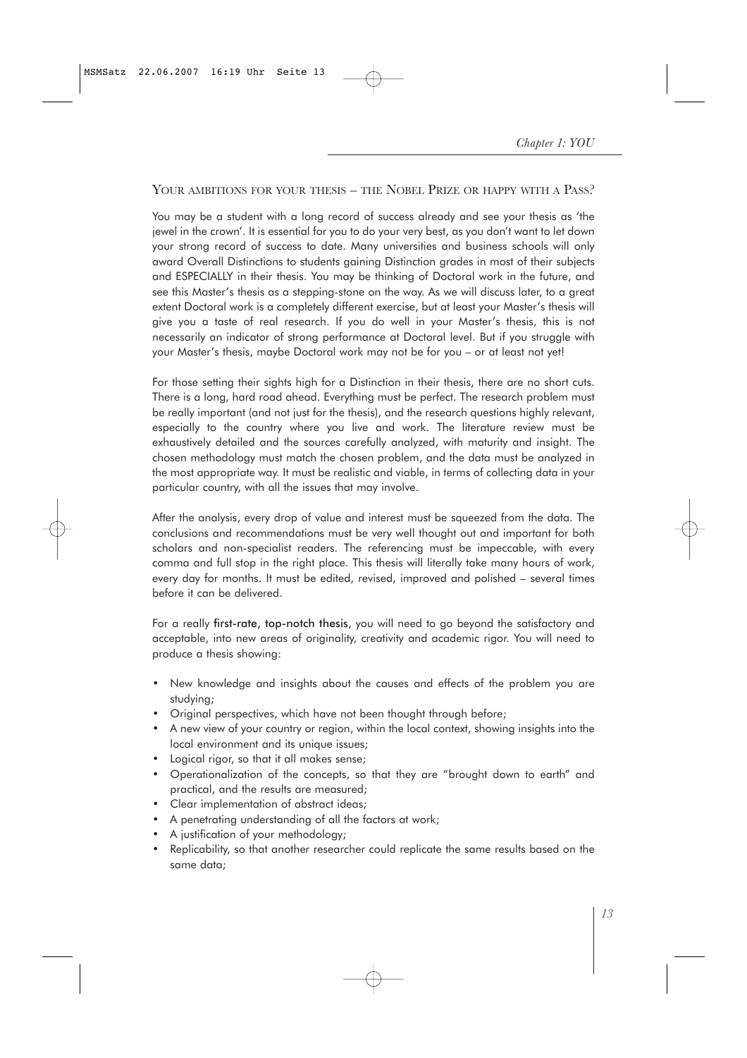#### YOUR AMBITIONS FOR YOUR THESIS – THE NOBEL PRIZE OR HAPPY WITH A PASS?

You may be a student with a long record of success already and see your thesis as 'the jewel in the crown'. It is essential for you to do your very best, as you don't want to let down your strong record of success to date. Many universities and business schools will only award Overall Distinctions to students gaining Distinction grades in most of their subjects and ESPECIALLY in their thesis. You may be thinking of Doctoral work in the future, and see this Master's thesis as a stepping-stone on the way. As we will discuss later, to a great extent Doctoral work is a completely different exercise, but at least your Master's thesis will give you a taste of real research. If you do well in your Master's thesis, this is not necessarily an indicator of strong performance at Doctoral level. But if you struggle with your Master's thesis, maybe Doctoral work may not be for you – or at least not yet!

For those setting their sights high for a Distinction in their thesis, there are no short cuts. There is a long, hard road ahead. Everything must be perfect. The research problem must be really important (and not just for the thesis), and the research questions highly relevant, especially to the country where you live and work. The literature review must be exhaustively detailed and the sources carefully analyzed, with maturity and insight. The chosen methodology must match the chosen problem, and the data must be analyzed in the most appropriate way. It must be realistic and viable, in terms of collecting data in your particular country, with all the issues that may involve.

After the analysis, every drop of value and interest must be squeezed from the data. The conclusions and recommendations must be very well thought out and important for both scholars and non-specialist readers. The referencing must be impeccable, with every comma and full stop in the right place. This thesis will literally take many hours of work, every day for months. It must be edited, revised, improved and polished – several times before it can be delivered.

For a really first-rate, top-notch thesis, you will need to go beyond the satisfactory and acceptable, into new areas of originality, creativity and academic rigor. You will need to produce a thesis showing:

- New knowledge and insights about the causes and effects of the problem you are studying;
- Original perspectives, which have not been thought through before;
- A new view of your country or region, within the local context, showing insights into the local environment and its unique issues;
- Logical rigor, so that it all makes sense;
- Operationalization of the concepts, so that they are "brought down to earth" and practical, and the results are measured;
- Clear implementation of abstract ideas;
- A penetrating understanding of all the factors at work;
- A justification of your methodology;
- Replicability, so that another researcher could replicate the same results based on the same data;